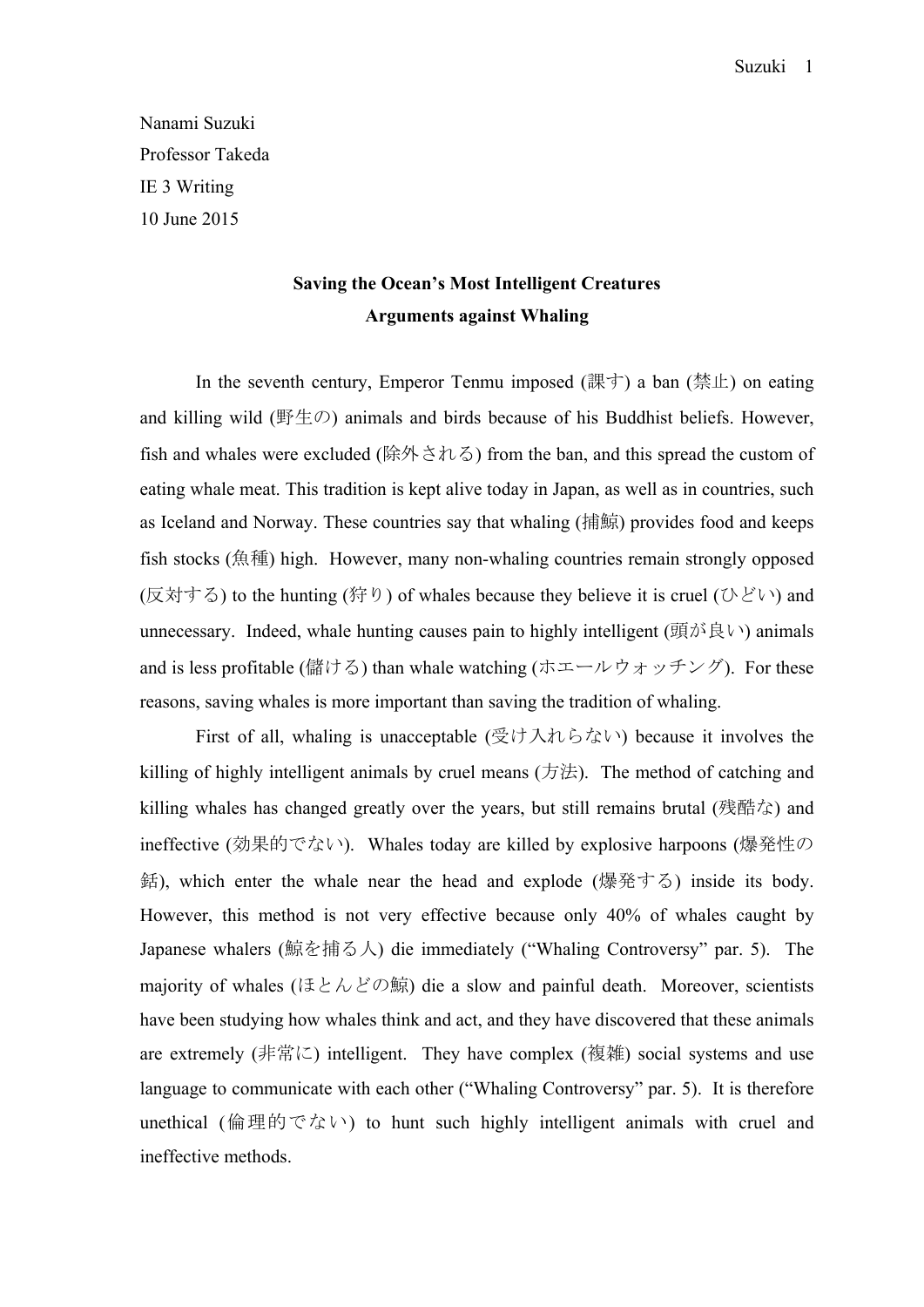Nanami Suzuki Professor Takeda IE 3 Writing 10 June 2015

## **Saving the Ocean's Most Intelligent Creatures Arguments against Whaling**

In the seventh century, Emperor Tenmu imposed (課す) a ban (禁止) on eating and killing wild (野生の) animals and birds because of his Buddhist beliefs. However, fish and whales were excluded (除外される) from the ban, and this spread the custom of eating whale meat. This tradition is kept alive today in Japan, as well as in countries, such as Iceland and Norway. These countries say that whaling (捕鯨) provides food and keeps fish stocks (魚種) high. However, many non-whaling countries remain strongly opposed  $(\overline{\boxtimes}$ 対する) to the hunting (狩り) of whales because they believe it is cruel (ひどい) and unnecessary. Indeed, whale hunting causes pain to highly intelligent (頭が良い) animals and is less profitable (儲ける) than whale watching (ホエールウォッチング). For these reasons, saving whales is more important than saving the tradition of whaling.

First of all, whaling is unacceptable (受け入れらない) because it involves the killing of highly intelligent animals by cruel means (方法). The method of catching and killing whales has changed greatly over the years, but still remains brutal (残酷な) and ineffective (効果的でない). Whales today are killed by explosive harpoons (爆発性の 銛), which enter the whale near the head and explode (爆発する) inside its body. However, this method is not very effective because only 40% of whales caught by Japanese whalers (鯨を捕る人) die immediately ("Whaling Controversy" par. 5). The majority of whales (ほとんどの鯨) die a slow and painful death. Moreover, scientists have been studying how whales think and act, and they have discovered that these animals are extremely (非常に) intelligent. They have complex (複雑) social systems and use language to communicate with each other ("Whaling Controversy" par. 5). It is therefore unethical (倫理的でない) to hunt such highly intelligent animals with cruel and ineffective methods.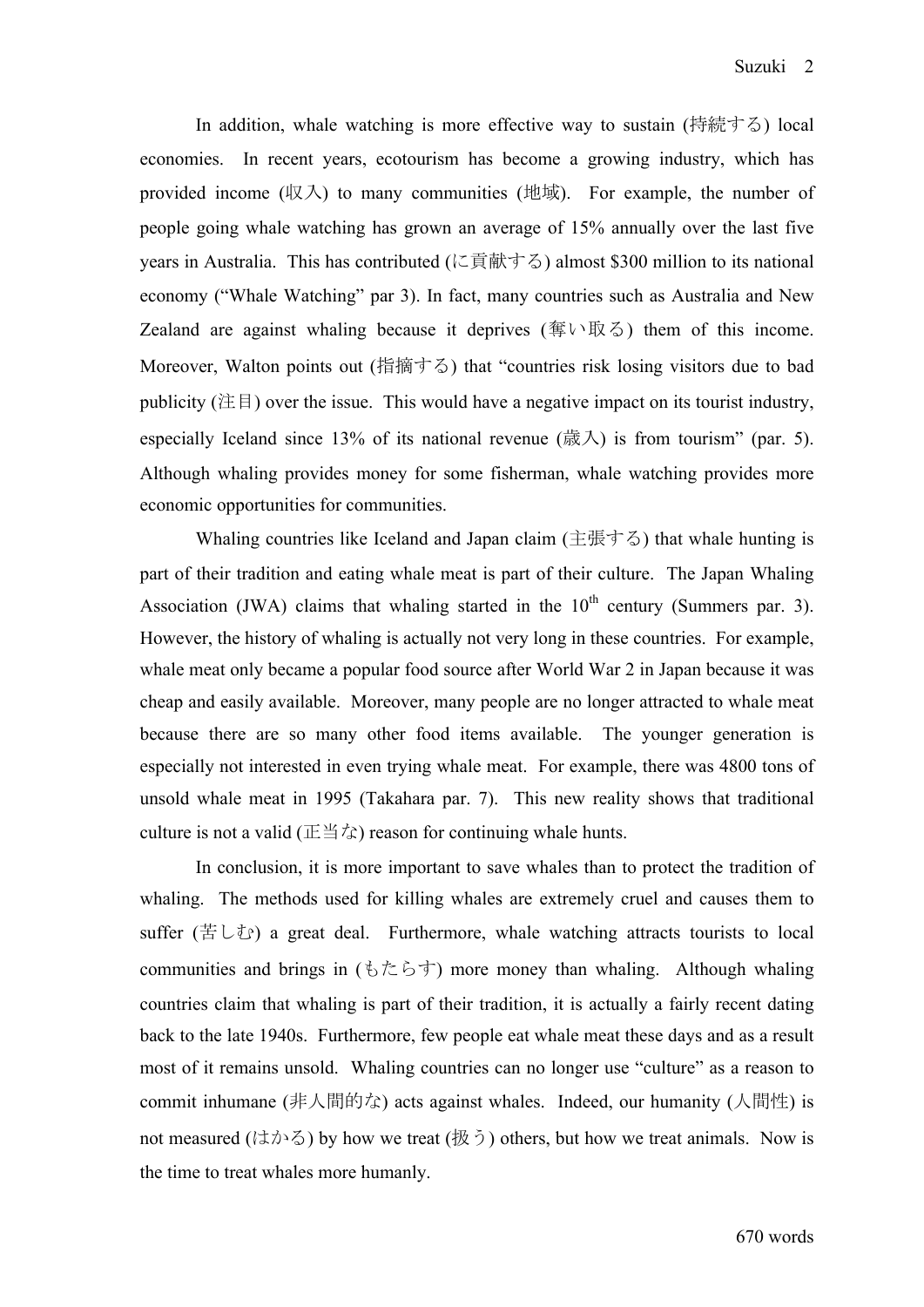In addition, whale watching is more effective way to sustain (持続する) local economies. In recent years, ecotourism has become a growing industry, which has provided income  $(\nabla \times \mathcal{N})$  to many communities (地域). For example, the number of people going whale watching has grown an average of 15% annually over the last five years in Australia. This has contributed (に貢献する) almost \$300 million to its national economy ("Whale Watching" par 3). In fact, many countries such as Australia and New Zealand are against whaling because it deprives (奪い取る) them of this income. Moreover, Walton points out (指摘する) that "countries risk losing visitors due to bad publicity ( $\angle \pm \equiv 0$ ) over the issue. This would have a negative impact on its tourist industry, especially Iceland since 13% of its national revenue (歳入) is from tourism" (par. 5). Although whaling provides money for some fisherman, whale watching provides more economic opportunities for communities.

Whaling countries like Iceland and Japan claim (主張する) that whale hunting is part of their tradition and eating whale meat is part of their culture. The Japan Whaling Association (JWA) claims that whaling started in the  $10<sup>th</sup>$  century (Summers par. 3). However, the history of whaling is actually not very long in these countries. For example, whale meat only became a popular food source after World War 2 in Japan because it was cheap and easily available. Moreover, many people are no longer attracted to whale meat because there are so many other food items available. The younger generation is especially not interested in even trying whale meat. For example, there was 4800 tons of unsold whale meat in 1995 (Takahara par. 7). This new reality shows that traditional culture is not a valid ( $E \triangleq \hat{\mathcal{L}}$ ) reason for continuing whale hunts.

In conclusion, it is more important to save whales than to protect the tradition of whaling. The methods used for killing whales are extremely cruel and causes them to suffer (苦しむ) a great deal. Furthermore, whale watching attracts tourists to local communities and brings in  $( \xi \uparrow \zeta \uparrow )$  more money than whaling. Although whaling countries claim that whaling is part of their tradition, it is actually a fairly recent dating back to the late 1940s. Furthermore, few people eat whale meat these days and as a result most of it remains unsold. Whaling countries can no longer use "culture" as a reason to commit inhumane (非人間的な) acts against whales. Indeed, our humanity (人間性) is not measured (はかる) by how we treat (扱う) others, but how we treat animals. Now is the time to treat whales more humanly.